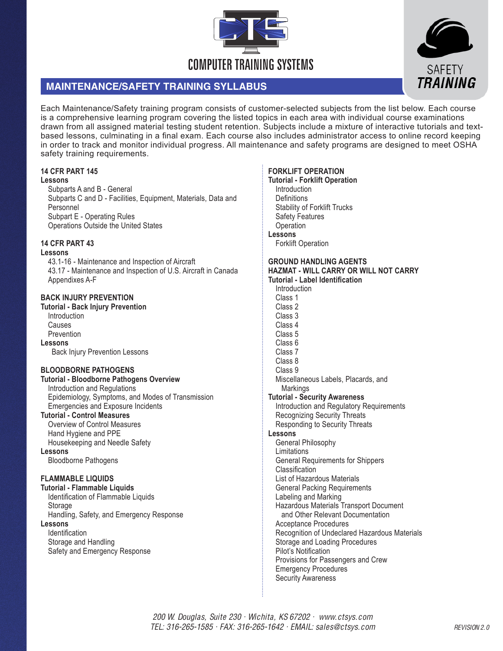

# **MAINTENANCE/SAFETY TRAINING SYLLABUS**

Each Maintenance/Safety training program consists of customer-selected subjects from the list below. Each course is a comprehensive learning program covering the listed topics in each area with individual course examinations drawn from all assigned material testing student retention. Subjects include a mixture of interactive tutorials and textbased lessons, culminating in a final exam. Each course also includes administrator access to online record keeping in order to track and monitor individual progress. All maintenance and safety programs are designed to meet OSHA safety training requirements.

## **14 CFR PART 145**

### **Lessons**

Subparts A and B - General Subparts C and D - Facilities, Equipment, Materials, Data and Personnel Subpart E - Operating Rules Operations Outside the United States

## **14 CFR PART 43**

## **Lessons**

43.1-16 - Maintenance and Inspection of Aircraft 43.17 - Maintenance and Inspection of U.S. Aircraft in Canada Appendixes A-F

## **BACK INJURY PREVENTION**

**Tutorial - Back Injury Prevention** Introduction Causes Prevention **Lessons**  Back Injury Prevention Lessons

## **BLOODBORNE PATHOGENS**

**Tutorial - Bloodborne Pathogens Overview** Introduction and Regulations Epidemiology, Symptoms, and Modes of Transmission Emergencies and Exposure Incidents

**Tutorial - Control Measures**

Overview of Control Measures Hand Hygiene and PPE

Housekeeping and Needle Safety

**Lessons**

Bloodborne Pathogens

## **FLAMMABLE LIQUIDS**

**Tutorial - Flammable Liquids**

Identification of Flammable Liquids **Storage** 

Handling, Safety, and Emergency Response

## **Lessons**

Identification

Storage and Handling Safety and Emergency Response

## **FORKLIFT OPERATION**

**Tutorial - Forklift Operation** Introduction **Definitions** Stability of Forklift Trucks Safety Features **Operation Lessons** Forklift Operation **GROUND HANDLING AGENTS HAZMAT - WILL CARRY OR WILL NOT CARRY Tutorial - Label Identification** Introduction Class 1 Class 2 Class 3 Class 4 Class 5 Class 6 Class 7 Class 8 Class 9 Miscellaneous Labels, Placards, and **Markings Tutorial - Security Awareness** Introduction and Regulatory Requirements Recognizing Security Threats Responding to Security Threats **Lessons**  General Philosophy Limitations General Requirements for Shippers Classification List of Hazardous Materials General Packing Requirements Labeling and Marking Hazardous Materials Transport Document and Other Relevant Documentation Acceptance Procedures Recognition of Undeclared Hazardous Materials Storage and Loading Procedures Pilot's Notification Provisions for Passengers and Crew Emergency Procedures Security Awareness

**TRAINING**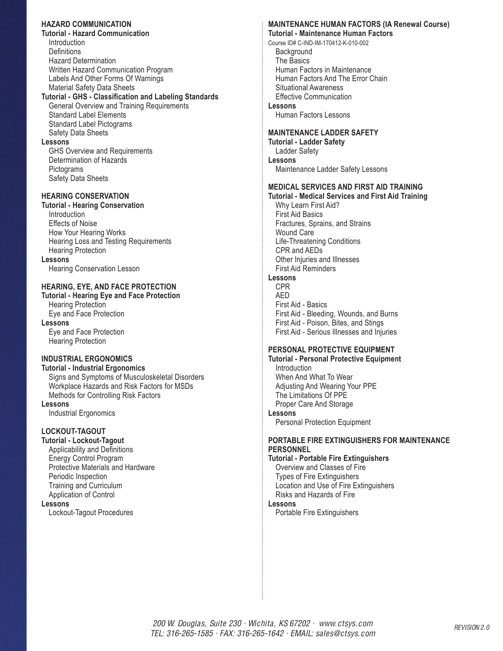### **HAZARD COMMUNICATION**

**Tutorial - Hazard Communication Introduction Definitions** Hazard Determination Written Hazard Communication Program Labels And Other Forms Of Warnings Material Safety Data Sheets

#### **Tutorial - GHS - Classification and Labeling Standards** General Overview and Training Requirements

Standard Label Elements Standard Label Pictograms Safety Data Sheets

### **Lessons**

GHS Overview and Requirements Determination of Hazards **Pictograms** Safety Data Sheets

## **HEARING CONSERVATION**

### **Tutorial - Hearing Conservation**

Introduction Effects of Noise How Your Hearing Works Hearing Loss and Testing Requirements Hearing Protection

#### **Lessons**

Hearing Conservation Lesson

## **HEARING, EYE, AND FACE PROTECTION**

**Tutorial - Hearing Eye and Face Protection** Hearing Protection Eye and Face Protection

#### **Lessons**

Eye and Face Protection Hearing Protection

## **INDUSTRIAL ERGONOMICS**

**Tutorial - Industrial Ergonomics** Signs and Symptoms of Musculoskeletal Disorders Workplace Hazards and Risk Factors for MSDs Methods for Controlling Risk Factors

**Lessons**

Industrial Ergonomics

### **LOCKOUT-TAGOUT**

**Tutorial - Lockout-Tagout** Applicability and Definitions Energy Control Program Protective Materials and Hardware Periodic Inspection Training and Curriculum Application of Control **Lessons**

Lockout-Tagout Procedures

# **MAINTENANCE HUMAN FACTORS (IA Renewal Course)**

**Tutorial - Maintenance Human Factors**

Course ID# C-IND-IM-170412-K-010-002 **Background** The Basics Human Factors in Maintenance Human Factors And The Error Chain Situational Awareness Effective Communication **Lessons** Human Factors Lessons

### **MAINTENANCE LADDER SAFETY**

**Tutorial - Ladder Safety** Ladder Safety **Lessons** Maintenance Ladder Safety Lessons

### **MEDICAL SERVICES AND FIRST AID TRAINING**

**Tutorial - Medical Services and First Aid Training** Why Learn First Aid? First Aid Basics Fractures, Sprains, and Strains Wound Care Life-Threatening Conditions CPR and AEDs Other Injuries and Illnesses First Aid Reminders **Lessons** CPR

AED First Aid - Basics First Aid - Bleeding, Wounds, and Burns First Aid - Poison, Bites, and Stings First Aid - Serious Illnesses and Injuries

## **PERSONAL PROTECTIVE EQUIPMENT**

**Tutorial - Personal Protective Equipment Introduction** When And What To Wear Adjusting And Wearing Your PPE The Limitations Of PPE Proper Care And Storage **Lessons**

Personal Protection Equipment

## **PORTABLE FIRE EXTINGUISHERS FOR MAINTENANCE PERSONNEL**

**Tutorial - Portable Fire Extinguishers** Overview and Classes of Fire Types of Fire Extinguishers Location and Use of Fire Extinguishers Risks and Hazards of Fire

**Lessons** Portable Fire Extinguishers